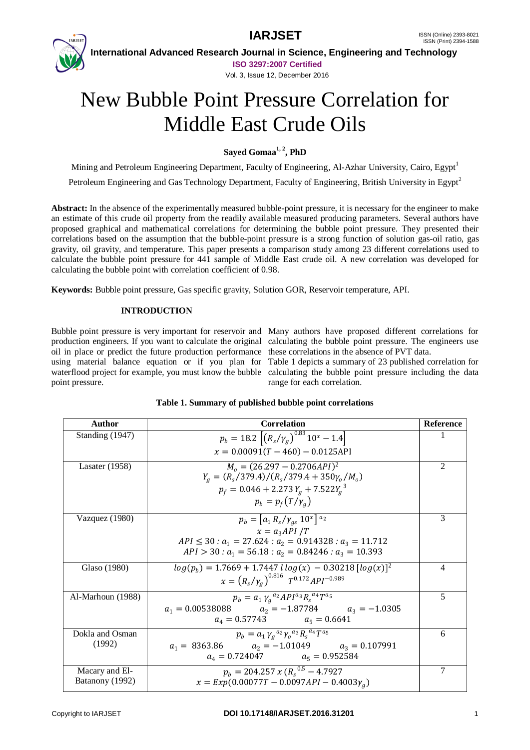

 **International Advanced Research Journal in Science, Engineering and Technology ISO 3297:2007 Certified**

Vol. 3, Issue 12, December 2016

# New Bubble Point Pressure Correlation for Middle East Crude Oils

**Sayed Gomaa1, 2 , PhD**

Mining and Petroleum Engineering Department, Faculty of Engineering, Al-Azhar University, Cairo, Egypt<sup>1</sup>

Petroleum Engineering and Gas Technology Department, Faculty of Engineering, British University in Egypt<sup>2</sup>

**Abstract:** In the absence of the experimentally measured bubble-point pressure, it is necessary for the engineer to make an estimate of this crude oil property from the readily available measured producing parameters. Several authors have proposed graphical and mathematical correlations for determining the bubble point pressure. They presented their correlations based on the assumption that the bubble-point pressure is a strong function of solution gas-oil ratio, gas gravity, oil gravity, and temperature. This paper presents a comparison study among 23 different correlations used to calculate the bubble point pressure for 441 sample of Middle East crude oil. A new correlation was developed for calculating the bubble point with correlation coefficient of 0.98.

**Keywords:** Bubble point pressure, Gas specific gravity, Solution GOR, Reservoir temperature, API.

#### **INTRODUCTION**

oil in place or predict the future production performance these correlations in the absence of PVT data. point pressure.

Bubble point pressure is very important for reservoir and Many authors have proposed different correlations for production engineers. If you want to calculate the original calculating the bubble point pressure. The engineers use

using material balance equation or if you plan for Table 1 depicts a summary of 23 published correlation for waterflood project for example, you must know the bubble calculating the bubble point pressure including the data range for each correlation.

| Author            | <b>Correlation</b>                                                          | <b>Reference</b> |
|-------------------|-----------------------------------------------------------------------------|------------------|
| Standing (1947)   | $p_b = 18.2 \left[ \left( R_s / \gamma_a \right)^{0.83} 10^x - 1.4 \right]$ | 1                |
|                   | $x = 0.00091(T - 460) - 0.0125$ API                                         |                  |
| Lasater $(1958)$  | $Mo = (26.297 - 0.2706API)2$                                                | $\overline{c}$   |
|                   | $Y_a = (R_s/379.4)/(R_s/379.4 + 350\gamma_o/M_o)$                           |                  |
|                   | $p_f = 0.046 + 2.273 Y_a + 7.522 Y_a^3$                                     |                  |
|                   | $p_h = p_f(T/\gamma_a)$                                                     |                  |
| Vazquez (1980)    | $p_b = [a_1 R_s / \gamma_{as} 10^x]^{a_2}$                                  | 3                |
|                   | $x = a_2API/T$                                                              |                  |
|                   | $API \le 30$ : $a_1 = 27.624$ : $a_2 = 0.914328$ : $a_3 = 11.712$           |                  |
|                   | $API > 30$ : $a_1 = 56.18$ : $a_2 = 0.84246$ : $a_3 = 10.393$               |                  |
| Glaso (1980)      | $log(p_h) = 1.7669 + 1.7447$ $log(x) - 0.30218$ $[log(x)]^2$                | 4                |
|                   | $x = (R_s/\gamma_a)^{0.816} T^{0.172} API^{-0.989}$                         |                  |
| Al-Marhoun (1988) | $p_b = a_1 \gamma_a{}^{a_2} A P I^{a_3} R_s{}^{a_4} T^{\overline{a_5}}$     | 5                |
|                   | $a_1 = 0.00538088$<br>$a_2 = -1.87784$ $a_3 = -1.0305$                      |                  |
|                   | $a_4 = 0.57743$ $a_5 = 0.6641$                                              |                  |
| Dokla and Osman   | $p_h = a_1 \gamma_a{}^{a_2} \gamma_a{}^{a_3} R_s{}^{a_4} T^{a_5}$           | 6                |
| (1992)            | $a_2 = -1.01049$ $a_3 = 0.107991$<br>$a_1 = 8363.86$                        |                  |
|                   | $a_4 = 0.724047$ $a_5 = 0.952584$                                           |                  |
| Macary and El-    | $p_b = 204.257 x (R_s^{0.5} - 4.7927)$                                      | 7                |
| Batanony (1992)   | $x = Exp(0.00077T - 0.0097API - 0.4003\gamma_a)$                            |                  |

#### **Table 1. Summary of published bubble point correlations**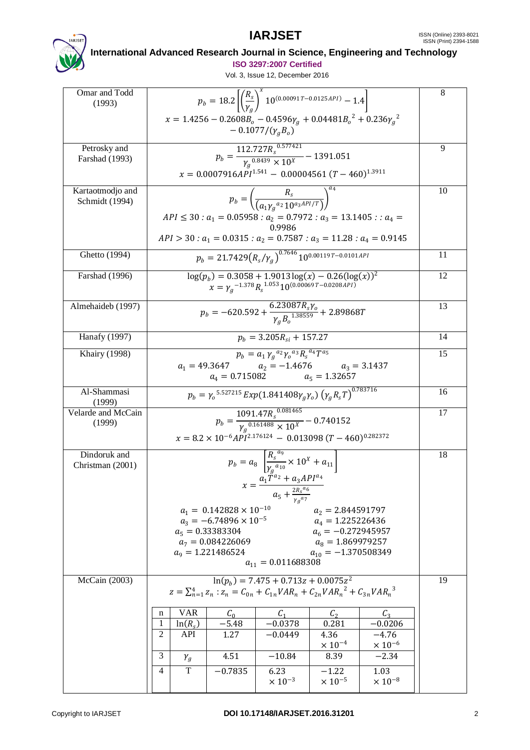

# **International Advanced Research Journal in Science, Engineering and Technology**

**ISO 3297:2007 Certified**

| Omar and Todd<br>(1993)            | $p_b = 18.2 \left[ \left( \frac{R_s}{V_s} \right)^x 10^{(0.00091T - 0.0125 \text{ API})} - 1.4 \right]$                          | 8  |  |  |
|------------------------------------|----------------------------------------------------------------------------------------------------------------------------------|----|--|--|
|                                    |                                                                                                                                  |    |  |  |
|                                    | $x = 1.4256 - 0.2608B_o - 0.4596\gamma_g + 0.04481B_o^2 + 0.236\gamma_g^2$<br>$-0.1077/(\gamma_a B_o)$                           |    |  |  |
| Petrosky and                       | $p_b = \frac{112.727 R_s^{0.577421}}{\gamma_q^{0.8439} \times 10^X} - 1391.051$                                                  |    |  |  |
| Farshad (1993)                     |                                                                                                                                  |    |  |  |
|                                    | $x = 0.0007916API^{1.541} - 0.00004561 (T - 460)^{1.3911}$                                                                       |    |  |  |
| Kartaotmodjo and<br>Schmidt (1994) | $p_b = \left(\frac{R_s}{(a_1 v_a^{a_2} 10^{a_3 API/T})}\right)^a$                                                                |    |  |  |
|                                    | $API \le 30$ : $a_1 = 0.05958$ : $a_2 = 0.7972$ : $a_3 = 13.1405$ : $a_4 =$                                                      |    |  |  |
|                                    | 0.9986                                                                                                                           |    |  |  |
|                                    | $API > 30$ : $a_1 = 0.0315$ : $a_2 = 0.7587$ : $a_3 = 11.28$ : $a_4 = 0.9145$                                                    |    |  |  |
| Ghetto (1994)                      | $p_h = 21.7429 (R_s/\gamma_a)^{0.7646} 10^{0.001197 - 0.0101 API}$                                                               | 11 |  |  |
| <b>Farshad</b> (1996)              | $\log(p_b) = 0.3058 + 1.9013 \log(x) - 0.26(\log(x))^2$<br>$\chi = \gamma_a^{-1.378} R_s^{-1.053} 10^{(0.00069 T - 0.0208 API)}$ |    |  |  |
| Almehaideb (1997)                  | $p_b = -620.592 + \frac{6.23087 \bar{R}_s \gamma_o}{\gamma_o B_o^{1.38559}} + 2.89868 T$                                         |    |  |  |
| <b>Hanafy (1997)</b>               | $p_h = 3.205R_{si} + 157.27$                                                                                                     |    |  |  |
| <b>Khairy</b> (1998)               | $p_b = a_1 \gamma_g^{a_2} \gamma_o^{a_3} R_s^{a_4} T^{a_5}$                                                                      |    |  |  |
|                                    | $\begin{array}{ccc} a_1 = 49.3647 & a_2 = -1.4676 & a_3 = 3.1437 \\ a_4 = 0.715082 & a_5 = 1.32657 \end{array}$                  |    |  |  |
| Al-Shammasi                        |                                                                                                                                  |    |  |  |
| (1999)                             | $p_b = \gamma_0^{5.527215} Exp(1.841408\gamma_a\gamma_o) (\gamma_a R_s T)^{0.783716}$                                            |    |  |  |
| Velarde and McCain<br>(1999)       | $p_b = \frac{1091.47 R_s^{0.081465}}{Y_a^{0.161488} \times 10^X} - 0.740152$                                                     |    |  |  |
|                                    | $x = 8.2 \times 10^{-6} API^{2.176124} - 0.013098 (T - 460)^{0.282372}$                                                          |    |  |  |
| Dindoruk and                       |                                                                                                                                  | 18 |  |  |
| Christman (2001)                   | $p_b = a_8 \left[ \frac{R_s^{u_9}}{\gamma_s^{a_{10}}} \times 10^X + a_{11} \right]$                                              |    |  |  |
|                                    | $x = \frac{a_1 \tilde{T}^{a_2} + a_3 API^{a_4}}{a_5 + \frac{2 R_s a_6}{\gamma_g a_7}}$                                           |    |  |  |
|                                    |                                                                                                                                  |    |  |  |
|                                    | $a_1 = 0.142828 \times 10^{-10}$<br>$a_2 = 2.844591797$<br>$a_3 = -6.74896 \times 10^{-5}$<br>$a_4 = 1.225226436$                |    |  |  |
|                                    | $a_5 = 0.33383304$<br>$a_6 = -0.272945957$                                                                                       |    |  |  |
|                                    | $a_7 = 0.084226069$<br>$a_8 = 1.869979257$<br>$a_9 = 1.221486524$<br>$a_{10} = -1.370508349$                                     |    |  |  |
|                                    | $a_{11} = 0.011688308$                                                                                                           |    |  |  |
| McCain (2003)                      | $\ln(p_h) = 7.475 + 0.713z + 0.0075z^2$<br>$z = \sum_{n=1}^{4} z_n : z_n = C_{0n} + C_{1n}VAR_n + C_{2n}VAR_n^2 + C_{3n}VAR_n^3$ | 19 |  |  |
|                                    | <b>VAR</b><br>C <sub>1</sub><br>C <sub>0</sub><br>$\mathcal{C}_2$<br>$C_3$<br>n                                                  |    |  |  |
|                                    | $-5.48$<br>1<br>$ln(R_s)$<br>$-0.0378$<br>0.281<br>$-0.0206$                                                                     |    |  |  |
|                                    | $\overline{2}$<br>API<br>1.27<br>4.36<br>$-4.76$<br>$-0.0449$<br>$\times$ 10 <sup>-4</sup><br>$\times$ 10 <sup>-6</sup>          |    |  |  |
|                                    |                                                                                                                                  |    |  |  |
|                                    | 3<br>4.51<br>$-10.84$<br>$-2.34$<br>8.39<br>$\gamma_g$                                                                           |    |  |  |
|                                    | T<br>1.03<br>4<br>$-0.7835$<br>6.23<br>$-1.22$<br>$\times$ 10 <sup>-5</sup><br>$\times 10^{-3}$<br>$\times$ 10 <sup>-8</sup>     |    |  |  |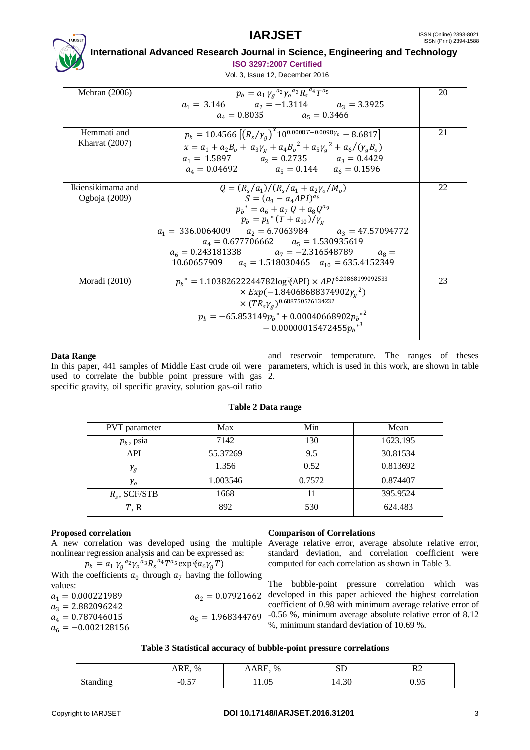

 **International Advanced Research Journal in Science, Engineering and Technology**

**ISO 3297:2007 Certified**

Vol. 3, Issue 12, December 2016

| Mehran $(2006)$                    | $p_b = a_1 \gamma_a{}^{a_2} \gamma_a{}^{a_3} R_s{}^{a_4} T^{\overline{a_5}}$<br>$a_1 = 3.146$ $a_2 = -1.3114$ $a_3 = 3.3925$<br>$a_4 = 0.8035$ $a_5 = 0.3466$                                                                                                                                                                                                                              | 20 |
|------------------------------------|--------------------------------------------------------------------------------------------------------------------------------------------------------------------------------------------------------------------------------------------------------------------------------------------------------------------------------------------------------------------------------------------|----|
| Hemmati and<br>Kharrat $(2007)$    | $p_b = 10.4566 \left[ \left( R_s / \gamma_a \right)^x 10^{0.0008T - 0.0098\gamma_o} - 8.6817 \right]$<br>$x = a_1 + a_2 B_0 + a_3 \gamma_a + a_4 B_0^2 + a_5 \gamma_a^2 + a_6/(\gamma_a B_0)$<br>$a_1 = 1.5897$ $a_2 = 0.2735$ $a_3 = 0.4429$<br>$a_4 = 0.04692$ $a_5 = 0.144$ $a_6 = 0.1596$                                                                                              | 21 |
| Ikiensikimama and<br>Ogboja (2009) | $Q = (R_s/a_1)/(R_s/a_1 + a_2\gamma_0/M_0)$<br>$S = (a_3 - a_4 API)^{a_5}$<br>$p_h^* = a_6 + a_7 Q + a_8 Q^{a_9}$<br>$p_b = p_b^* (T + a_{10}) / \gamma_a$<br>$a_1 = 336.0064009$ $a_2 = 6.7063984$ $a_3 = 47.57094772$<br>$a_4 = 0.677706662$ $a_5 = 1.530935619$<br>$a_6 = 0.243181338$ $a_7 = -2.316548789$<br>$a_{\Omega} =$<br>10.60657909 $a_9 = 1.518030465$ $a_{10} = 635.4152349$ | 22 |
| Moradi (2010)                      | $p_b^* = 1.10382622244782\log[$ (API) $\times$ API <sup>6.20868199092533</sup><br>$\times Exp(-1.84068688374902\gamma_a^2)$<br>$\times (TR_s \gamma_a)^{0.688750576134232}$<br>$p_h = -65.853149 p_h^* + 0.00040668902 {p_h}^*$<br>$-0.00000015472455p_h^{\ast}$ <sup>3</sup>                                                                                                              | 23 |

#### **Data Range**

In this paper, 441 samples of Middle East crude oil were parameters, which is used in this work, are shown in table used to correlate the bubble point pressure with gas 2. specific gravity, oil specific gravity, solution gas-oil ratio

and reservoir temperature. The ranges of theses

#### **Table 2 Data range**

| <b>PVT</b> parameter | Max      | Min    | Mean     |
|----------------------|----------|--------|----------|
| $p_b$ , psia         | 7142     | 130    | 1623.195 |
| API                  | 55.37269 | 9.5    | 30.81534 |
| $\mathcal{V}_{g}$    | 1.356    | 0.52   | 0.813692 |
| $\mathcal{V}_o$      | 1.003546 | 0.7572 | 0.874407 |
| $R_s$ , SCF/STB      | 1668     |        | 395.9524 |
| T, R                 | 892      | 530    | 624.483  |

#### **Proposed correlation**

A new correlation was developed using the multiple Average relative error, average absolute relative error, nonlinear regression analysis and can be expressed as:

$$
p_b = a_1 \gamma_g{}^{a_2} \gamma_o{}^{a_3} R_s{}^{a_4} T^{a_5} \exp{\mathbb{I}(\mathbf{a}_6 \gamma_g T)}
$$

With the coefficients  $a_0$  through  $a_7$  having the following values:

| $a_1 = 0.000221989$  | $a_2 = 0.07921662$  |
|----------------------|---------------------|
| $a_3 = 2.882096242$  |                     |
| $a_4 = 0.787046015$  | $a_5 = 1.968344769$ |
| $a_6 = -0.002128156$ |                     |

#### **Comparison of Correlations**

standard deviation, and correlation coefficient were computed for each correlation as shown in Table 3.

The bubble-point pressure correlation which was developed in this paper achieved the highest correlation coefficient of 0.98 with minimum average relative error of -0.56 %, minimum average absolute relative error of 8.12 %, minimum standard deviation of 10.69 %.

**Table 3 Statistical accuracy of bubble-point pressure correlations**

|          | ARE.<br>$\%$             | RE<br>$\%$ | $\sim$ $\sim$<br>ມມ | $\sim$         |
|----------|--------------------------|------------|---------------------|----------------|
| $\sim$   | $\overline{\phantom{0}}$ | $\Omega$   | $\Omega$            | O <sub>5</sub> |
| Standing | $-U.$                    | 11.UJ      | 14.JU               |                |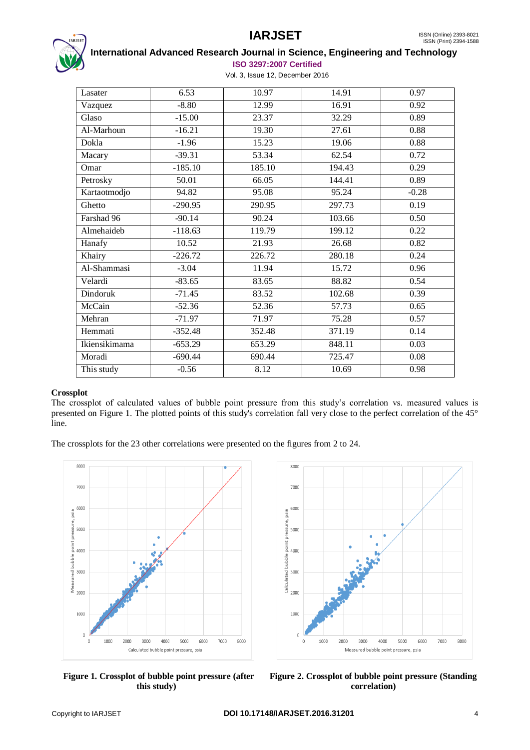

#### **International Advanced Research Journal in Science, Engineering and Technology ISO 3297:2007 Certified**

Vol. 3, Issue 12, December 2016

| Lasater       | 6.53      | 10.97  | 14.91  | 0.97              |
|---------------|-----------|--------|--------|-------------------|
| Vazquez       | $-8.80$   | 12.99  | 16.91  | 0.92              |
| Glaso         | $-15.00$  | 23.37  | 32.29  | 0.89              |
| Al-Marhoun    | $-16.21$  | 19.30  | 27.61  | 0.88              |
| Dokla         | $-1.96$   | 15.23  | 19.06  | 0.88              |
| Macary        | $-39.31$  | 53.34  | 62.54  | 0.72              |
| Omar          | $-185.10$ | 185.10 | 194.43 | 0.29              |
| Petrosky      | 50.01     | 66.05  | 144.41 | 0.89              |
| Kartaotmodjo  | 94.82     | 95.08  | 95.24  | $-0.28$           |
| Ghetto        | $-290.95$ | 290.95 | 297.73 | 0.19              |
| Farshad 96    | $-90.14$  | 90.24  | 103.66 | 0.50              |
| Almehaideb    | $-118.63$ | 119.79 | 199.12 | 0.22              |
| Hanafy        | 10.52     | 21.93  | 26.68  | $\overline{0.82}$ |
| Khairy        | $-226.72$ | 226.72 | 280.18 | 0.24              |
| Al-Shammasi   | $-3.04$   | 11.94  | 15.72  | 0.96              |
| Velardi       | $-83.65$  | 83.65  | 88.82  | 0.54              |
| Dindoruk      | $-71.45$  | 83.52  | 102.68 | 0.39              |
| McCain        | $-52.36$  | 52.36  | 57.73  | 0.65              |
| Mehran        | $-71.97$  | 71.97  | 75.28  | 0.57              |
| Hemmati       | $-352.48$ | 352.48 | 371.19 | 0.14              |
| Ikiensikimama | $-653.29$ | 653.29 | 848.11 | 0.03              |
| Moradi        | $-690.44$ | 690.44 | 725.47 | 0.08              |
| This study    | $-0.56$   | 8.12   | 10.69  | 0.98              |

#### **Crossplot**

The crossplot of calculated values of bubble point pressure from this study's correlation vs. measured values is presented on Figure 1. The plotted points of this study's correlation fall very close to the perfect correlation of the 45° line.

The crossplots for the 23 other correlations were presented on the figures from 2 to 24.







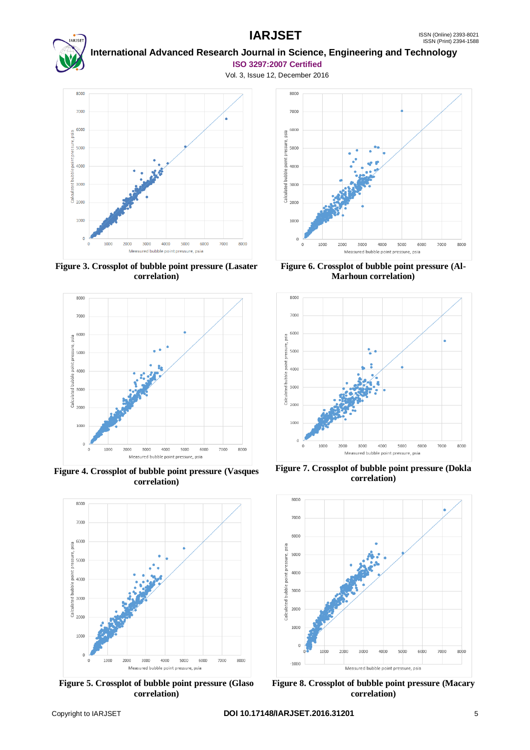

#### **International Advanced Research Journal in Science, Engineering and Technology ISO 3297:2007 Certified**



**Figure 3. Crossplot of bubble point pressure (Lasater correlation)**



**Figure 4. Crossplot of bubble point pressure (Vasques correlation)**



**Figure 5. Crossplot of bubble point pressure (Glaso correlation)**



**Figure 6. Crossplot of bubble point pressure (Al-Marhoun correlation)**



**Figure 7. Crossplot of bubble point pressure (Dokla correlation)**



**Figure 8. Crossplot of bubble point pressure (Macary correlation)**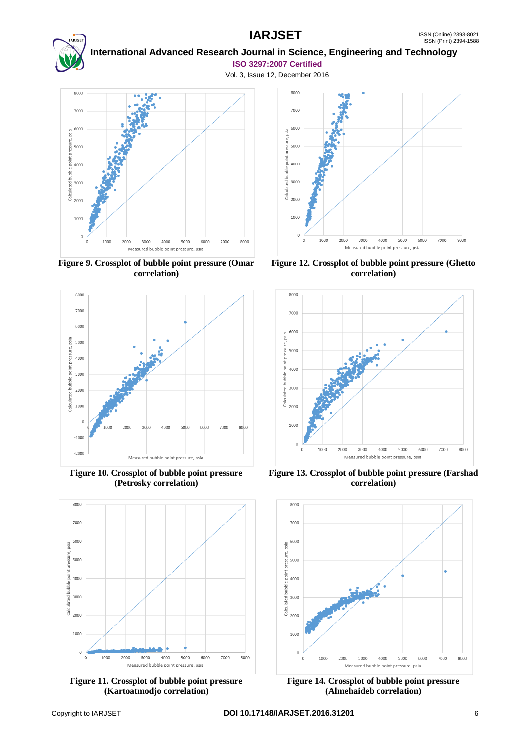

### **International Advanced Research Journal in Science, Engineering and Technology ISO 3297:2007 Certified**



**Figure 9. Crossplot of bubble point pressure (Omar correlation)**



**Figure 10. Crossplot of bubble point pressure (Petrosky correlation)**



**Figure 11. Crossplot of bubble point pressure (Kartoatmodjo correlation)**



**Figure 12. Crossplot of bubble point pressure (Ghetto correlation)**



**Figure 13. Crossplot of bubble point pressure (Farshad correlation)**



**Figure 14. Crossplot of bubble point pressure (Almehaideb correlation)**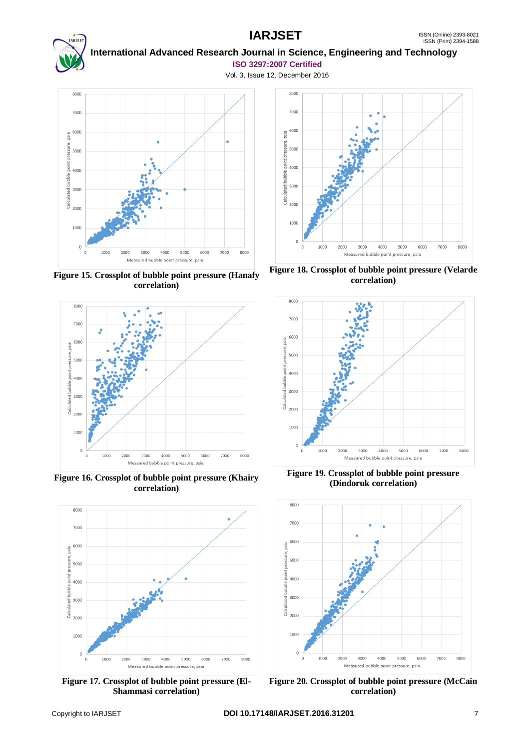

#### **International Advanced Research Journal in Science, Engineering and Technology ISO 3297:2007 Certified**



**Figure 15. Crossplot of bubble point pressure (Hanafy correlation)**



**Figure 16. Crossplot of bubble point pressure (Khairy correlation)**



**Figure 17. Crossplot of bubble point pressure (El-Shammasi correlation)**



**Figure 18. Crossplot of bubble point pressure (Velarde correlation)**



**Figure 19. Crossplot of bubble point pressure (Dindoruk correlation)**



**Figure 20. Crossplot of bubble point pressure (McCain correlation)**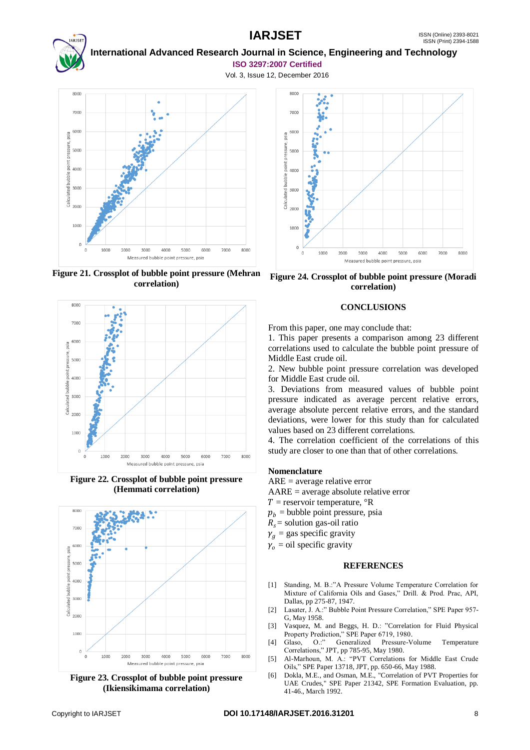

### **International Advanced Research Journal in Science, Engineering and Technology ISO 3297:2007 Certified**

Vol. 3, Issue 12, December 2016



**Figure 21. Crossplot of bubble point pressure (Mehran correlation)**



**Figure 22. Crossplot of bubble point pressure (Hemmati correlation)**



**Figure 23. Crossplot of bubble point pressure (Ikiensikimama correlation)**



**Figure 24. Crossplot of bubble point pressure (Moradi correlation)**

#### **CONCLUSIONS**

From this paper, one may conclude that:

1. This paper presents a comparison among 23 different correlations used to calculate the bubble point pressure of Middle East crude oil.

2. New bubble point pressure correlation was developed for Middle East crude oil.

3. Deviations from measured values of bubble point pressure indicated as average percent relative errors, average absolute percent relative errors, and the standard deviations, were lower for this study than for calculated values based on 23 different correlations.

4. The correlation coefficient of the correlations of this study are closer to one than that of other correlations.

#### **Nomenclature**

ARE = average relative error

AARE = average absolute relative error

- $T =$  reservoir temperature,  $\mathrm{R}$
- $p<sub>h</sub>$  = bubble point pressure, psia
- $R<sub>s</sub>$  = solution gas-oil ratio
- $\gamma_a$  = gas specific gravity
- $\gamma_0 =$  oil specific gravity

#### **REFERENCES**

- [1] Standing, M. B.:"A Pressure Volume Temperature Correlation for Mixture of California Oils and Gases," Drill. & Prod. Prac, API, Dallas, pp 275-87, 1947.
- [2] Lasater, J. A.:" Bubble Point Pressure Correlation," SPE Paper 957-G, May 1958.
- [3] Vasquez, M. and Beggs, H. D.: "Correlation for Fluid Physical
- Property Prediction," SPE Paper 6719, 1980.<br>Glaso. O.:" Generalized Pressure-V [4] Glaso, O.:" Generalized Pressure-Volume Temperature Correlations," JPT, pp 785-95, May 1980.
- [5] Al-Marhoun, M. A.: "PVT Correlations for Middle East Crude Oils," SPE Paper 13718, JPT, pp. 650-66, May 1988.
- [6] Dokla, M.E., and Osman, M.E., "Correlation of PVT Properties for UAE Crudes," SPE Paper 21342, SPE Formation Evaluation, pp. 41-46., March 1992.